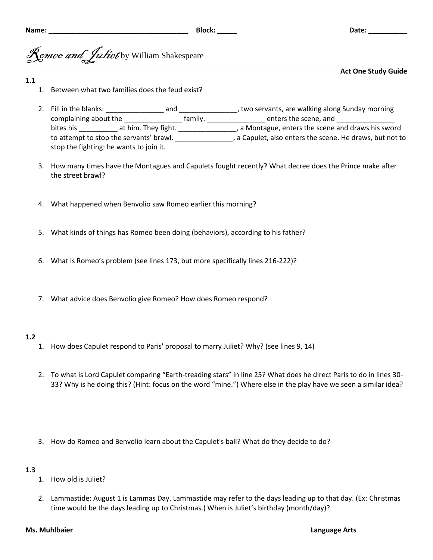# *comeo and Juliet* by William Shakespeare

### **Act One Study Guide**

### **1.1**

- 1. Between what two families does the feud exist?
- 2. Fill in the blanks: \_\_\_\_\_\_\_\_\_\_\_\_\_\_\_ and \_\_\_\_\_\_\_\_\_\_\_\_\_\_\_, two servants, are walking along Sunday morning complaining about the \_\_\_\_\_\_\_\_\_\_\_\_\_\_\_\_\_\_ family. \_\_\_\_\_\_\_\_\_\_\_\_\_\_\_\_ enters the scene, and \_\_\_\_\_\_\_\_\_\_\_\_ bites his \_\_\_\_\_\_\_\_\_\_ at him. They fight. \_\_\_\_\_\_\_\_\_\_\_\_\_\_\_\_, a Montague, enters the scene and draws his sword to attempt to stop the servants' brawl. \_\_\_\_\_\_\_\_\_\_\_\_\_\_\_, a Capulet, also enters the scene. He draws, but not to stop the fighting: he wants to join it.
- 3. How many times have the Montagues and Capulets fought recently? What decree does the Prince make after the street brawl?
- 4. What happened when Benvolio saw Romeo earlier this morning?
- 5. What kinds of things has Romeo been doing (behaviors), according to his father?
- 6. What is Romeo's problem (see lines 173, but more specifically lines 216-222)?
- 7. What advice does Benvolio give Romeo? How does Romeo respond?

## **1.2**

- 1. How does Capulet respond to Paris' proposal to marry Juliet? Why? (see lines 9, 14)
- 2. To what is Lord Capulet comparing "Earth-treading stars" in line 25? What does he direct Paris to do in lines 30- 33? Why is he doing this? (Hint: focus on the word "mine.") Where else in the play have we seen a similar idea?
- 3. How do Romeo and Benvolio learn about the Capulet's ball? What do they decide to do?

## **1.3**

- 1. How old is Juliet?
- 2. Lammastide: August 1 is Lammas Day. Lammastide may refer to the days leading up to that day. (Ex: Christmas time would be the days leading up to Christmas.) When is Juliet's birthday (month/day)?

#### **Ms. Muhlbaier Language Arts**